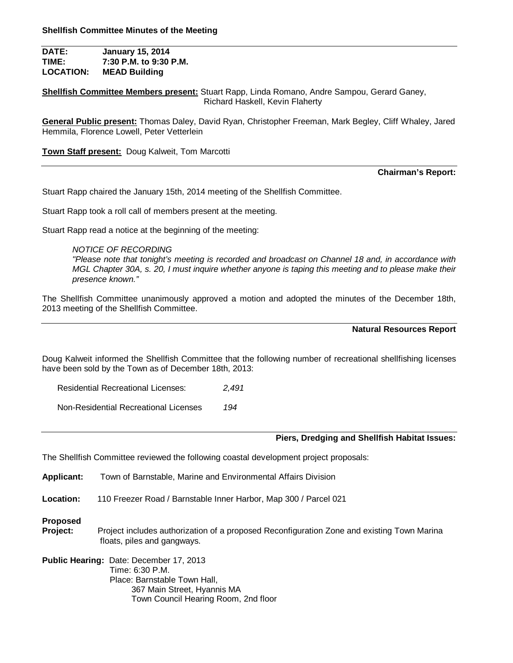**DATE: January 15, 2014 TIME: 7:30 P.M. to 9:30 P.M. LOCATION: MEAD Building**

**Shellfish Committee Members present:** Stuart Rapp, Linda Romano, Andre Sampou, Gerard Ganey, Richard Haskell, Kevin Flaherty

**General Public present:** Thomas Daley, David Ryan, Christopher Freeman, Mark Begley, Cliff Whaley, Jared Hemmila, Florence Lowell, Peter Vetterlein

**Town Staff present:** Doug Kalweit, Tom Marcotti

**Chairman's Report:**

Stuart Rapp chaired the January 15th, 2014 meeting of the Shellfish Committee.

Stuart Rapp took a roll call of members present at the meeting.

Stuart Rapp read a notice at the beginning of the meeting:

*NOTICE OF RECORDING "Please note that tonight's meeting is recorded and broadcast on Channel 18 and, in accordance with MGL Chapter 30A, s. 20, I must inquire whether anyone is taping this meeting and to please make their presence known."*

The Shellfish Committee unanimously approved a motion and adopted the minutes of the December 18th, 2013 meeting of the Shellfish Committee.

**Natural Resources Report**

Doug Kalweit informed the Shellfish Committee that the following number of recreational shellfishing licenses have been sold by the Town as of December 18th, 2013:

Residential Recreational Licenses: *2,491*

Non-Residential Recreational Licenses *194*

# **Piers, Dredging and Shellfish Habitat Issues:**

The Shellfish Committee reviewed the following coastal development project proposals:

**Applicant:** Town of Barnstable, Marine and Environmental Affairs Division

**Location:** 110 Freezer Road / Barnstable Inner Harbor, Map 300 / Parcel 021

**Proposed**

**Project:** Project includes authorization of a proposed Reconfiguration Zone and existing Town Marina floats, piles and gangways.

**Public Hearing:** Date: December 17, 2013 Time: 6:30 P.M. Place: Barnstable Town Hall, 367 Main Street, Hyannis MA Town Council Hearing Room, 2nd floor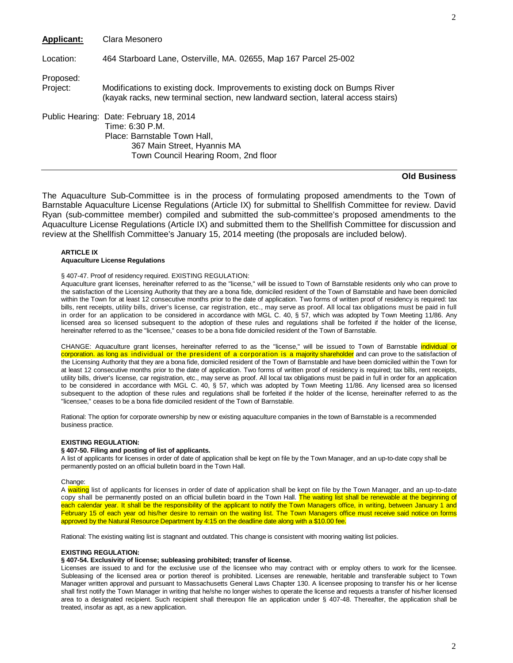| <b>Applicant:</b>     | Clara Mesonero                                                                                                                                                    |
|-----------------------|-------------------------------------------------------------------------------------------------------------------------------------------------------------------|
| Location:             | 464 Starboard Lane, Osterville, MA. 02655, Map 167 Parcel 25-002                                                                                                  |
| Proposed:<br>Project: | Modifications to existing dock. Improvements to existing dock on Bumps River<br>(kayak racks, new terminal section, new landward section, lateral access stairs)  |
|                       | Public Hearing: Date: February 18, 2014<br>Time: 6:30 P.M.<br>Place: Barnstable Town Hall,<br>367 Main Street, Hyannis MA<br>Town Council Hearing Room, 2nd floor |

## **Old Business**

The Aquaculture Sub-Committee is in the process of formulating proposed amendments to the Town of Barnstable Aquaculture License Regulations (Article IX) for submittal to Shellfish Committee for review. David Ryan (sub-committee member) compiled and submitted the sub-committee's proposed amendments to the Aquaculture License Regulations (Article IX) and submitted them to the Shellfish Committee for discussion and review at the Shellfish Committee's January 15, 2014 meeting (the proposals are included below).

## **ARTICLE IX Aquaculture License Regulations**

## § 407-47. Proof of residency required. EXISTING REGULATION:

Aquaculture grant licenses, hereinafter referred to as the "license," will be issued to Town of Barnstable residents only who can prove to the satisfaction of the Licensing Authority that they are a bona fide, domiciled resident of the Town of Bamstable and have been domiciled within the Town for at least 12 consecutive months prior to the date of application. Two forms of written proof of residency is required: tax bills, rent receipts, utility bills, driver's license, car registration, etc., may serve as proof. All local tax obligations must be paid in full in order for an application to be considered in accordance with MGL C. 40, § 57, which was adopted by Town Meeting 11/86. Any licensed area so licensed subsequent to the adoption of these rules and regulations shall be forfeited if the holder of the license, hereinafter referred to as the "licensee," ceases to be a bona fide domiciled resident of the Town of Barnstable.

CHANGE: Aquaculture grant licenses, hereinafter referred to as the "license," will be issued to Town of Barnstable individual or corporation, as long as individual or the president of a corporation is a majority shareholder and can prove to the satisfaction of the Licensing Authority that they are a bona fide, domiciled resident of the Town of Barnstable and have been domiciled within the Town for at least 12 consecutive months prior to the date of application. Two forms of written proof of residency is required; tax bills, rent receipts, utility bills, driver's license, car registration, etc., may serve as proof. All local tax obligations must be paid in full in order for an application to be considered in accordance with MGL C. 40, § 57, which was adopted by Town Meeting 11/86. Any licensed area so licensed subsequent to the adoption of these rules and requlations shall be forfeited if the holder of the license, hereinafter referred to as the "licensee," ceases to be a bona fide domiciled resident of the Town of Barnstable.

Rational: The option for corporate ownership by new or existing aquaculture companies in the town of Barnstable is a recommended business practice.

## **EXISTING REGULATION:**

## **§ 407-50. Filing and posting of list of applicants.**

A list of applicants for licenses in order of date of application shall be kept on file by the Town Manager, and an up-to-date copy shall be permanently posted on an official bulletin board in the Town Hall.

Change:

A waiting list of applicants for licenses in order of date of application shall be kept on file by the Town Manager, and an up-to-date copy shall be permanently posted on an official bulletin board in the Town Hall. The waiting list shall be renewable at the beginning of each calendar year. It shall be the responsibility of the applicant to notify the Town Managers office, in writing, between January 1 and February 15 of each year od his/her desire to remain on the waiting list. The Town Managers office must receive said notice on forms approved by the Natural Resource Department by 4:15 on the deadline date along with a \$10.00 fee.

Rational: The existing waiting list is stagnant and outdated. This change is consistent with mooring waiting list policies.

## **EXISTING REGULATION:**

## **§ 407-54. Exclusivity of license; subleasing prohibited; transfer of license.**

Licenses are issued to and for the exclusive use of the licensee who may contract with or employ others to work for the licensee. Subleasing of the licensed area or portion thereof is prohibited. Licenses are renewable, heritable and transferable subject to Town Manager written approval and pursuant to Massachusetts General Laws Chapter 130. A licensee proposing to transfer his or her license shall first notify the Town Manager in writing that he/she no longer wishes to operate the license and requests a transfer of his/her licensed area to a designated recipient. Such recipient shall thereupon file an application under § 407-48. Thereafter, the application shall be treated, insofar as apt, as a new application.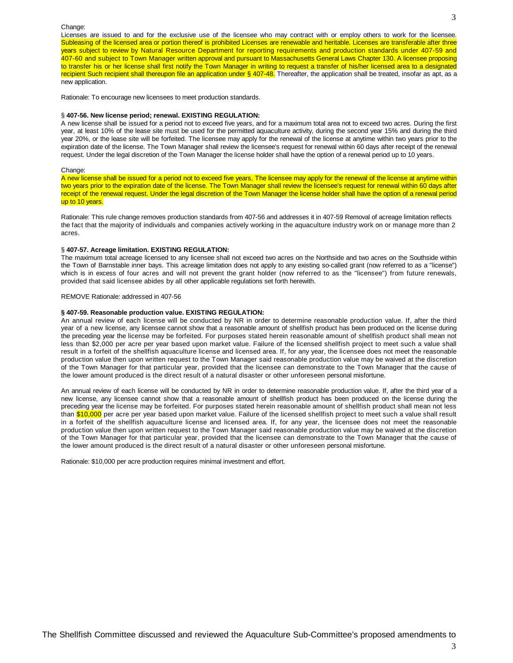#### Change:

Licenses are issued to and for the exclusive use of the licensee who may contract with or employ others to work for the licensee. Subleasing of the licensed area or portion thereof is prohibited Licenses are renewable and heritable. Licenses are transferable after three years subject to review by Natural Resource Department for reporting requirements and production standards under 407-59 and 407-60 and subject to Town Manager written approval and pursuant to Massachusetts General Laws Chapter 130. A licensee proposing to transfer his or her license shall first notify the Town Manager in writing to request a transfer of his/her licensed area to a designated recipient Such recipient shall thereupon file an application under § 407-48. Thereafter, the application shall be treated, insofar as apt, as a new application.

Rationale: To encourage new licensees to meet production standards.

### § **407-56. New license period; renewal. EXISTING REGULATION:**

A new license shall be issued for a period not to exceed five years, and for a maximum total area not to exceed two acres. During the first year, at least 10% of the lease site must be used for the permitted aquaculture activity, during the second year 15% and during the third year 20%, or the lease site will be forfeited. The licensee may apply for the renewal of the license at anytime within two years prior to the expiration date of the license. The Town Manager shall review the licensee's request for renewal within 60 days after receipt of the renewal request. Under the legal discretion of the Town Manager the license holder shall have the option of a renewal period up to 10 years.

#### Change:

A new license shall be issued for a period not to exceed five years, The licensee may apply for the renewal of the license at anytime within two years prior to the expiration date of the license. The Town Manager shall review the licensee's request for renewal within 60 days after receipt of the renewal request. Under the legal discretion of the Town Manager the license holder shall have the option of a renewal period up to 10 years.

Rationale: This rule change removes production standards from 407-56 and addresses it in 407-59 Removal of acreage limitation reflects the fact that the majority of individuals and companies actively working in the aquaculture industry work on or manage more than 2 acres.

### § **407-57. Acreage limitation. EXISTING REGULATION:**

The maximum total acreage licensed to any licensee shall not exceed two acres on the Northside and two acres on the Southside within the Town of Barnstable inner bays. This acreage limitation does not apply to any existing so-called grant (now referred to as a "license") which is in excess of four acres and will not prevent the grant holder (now referred to as the "licensee") from future renewals, provided that said licensee abides by all other applicable regulations set forth herewith.

#### REMOVE Rationale: addressed in 407-56

## **§ 407-59. Reasonable production value. EXISTING REGULATION:**

An annual review of each license will be conducted by NR in order to determine reasonable production value. If, after the third year of a new license, any licensee cannot show that a reasonable amount of shellfish product has been produced on the license during the preceding year the license may be forfeited. For purposes stated herein reasonable amount of shellfish product shall mean not less than \$2,000 per acre per year based upon market value. Failure of the licensed shellfish project to meet such a value shall result in a forfeit of the shellfish aquaculture license and licensed area. If, for any year, the licensee does not meet the reasonable production value then upon written request to the Town Manager said reasonable production value may be waived at the discretion of the Town Manager for that particular year, provided that the licensee can demonstrate to the Town Manager that the cause of the lower amount produced is the direct result of a natural disaster or other unforeseen personal misfortune.

An annual review of each license will be conducted by NR in order to determine reasonable production value. If, after the third year of a new license, any licensee cannot show that a reasonable amount of shellfish product has been produced on the license during the preceding year the license may be forfeited. For purposes stated herein reasonable amount of shellfish product shall mean not less than \$10,000 per acre per year based upon market value. Failure of the licensed shellfish project to meet such a value shall result in a forfeit of the shellfish aquaculture license and licensed area. If, for any year, the licensee does not meet the reasonable production value then upon written request to the Town Manager said reasonable production value may be waived at the discretion of the Town Manager for that particular year, provided that the licensee can demonstrate to the Town Manager that the cause of the lower amount produced is the direct result of a natural disaster or other unforeseen personal misfortune.

Rationale: \$10,000 per acre production requires minimal investment and effort.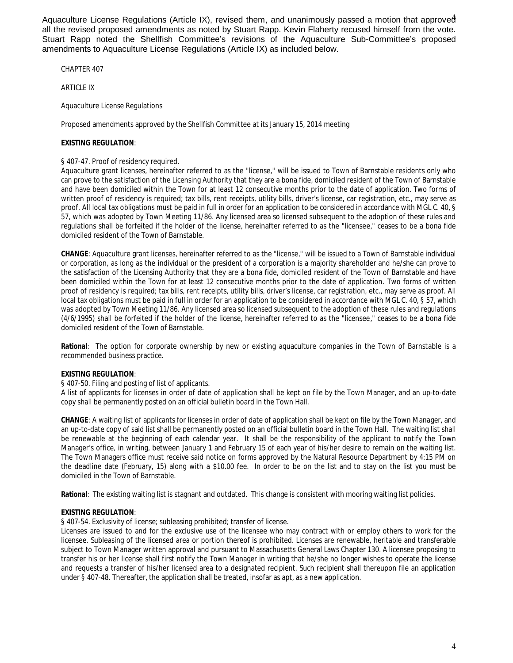Aquaculture License Regulations (Article IX), revised them, and unanimously passed a motion that approve $\hat{d}$ all the revised proposed amendments as noted by Stuart Rapp. Kevin Flaherty recused himself from the vote. Stuart Rapp noted the Shellfish Committee's revisions of the Aquaculture Sub-Committee's proposed amendments to Aquaculture License Regulations (Article IX) as included below.

CHAPTER 407

ARTICLE IX

Aquaculture License Regulations

Proposed amendments approved by the Shellfish Committee at its January 15, 2014 meeting

# **EXISTING REGULATION**:

# § 407-47. Proof of residency required.

Aquaculture grant licenses, hereinafter referred to as the "license," will be issued to Town of Barnstable residents only who can prove to the satisfaction of the Licensing Authority that they are a bona fide, domiciled resident of the Town of Barnstable and have been domiciled within the Town for at least 12 consecutive months prior to the date of application. Two forms of written proof of residency is required; tax bills, rent receipts, utility bills, driver's license, car registration, etc., may serve as proof. All local tax obligations must be paid in full in order for an application to be considered in accordance with MGL C. 40, § 57, which was adopted by Town Meeting 11/86. Any licensed area so licensed subsequent to the adoption of these rules and regulations shall be forfeited if the holder of the license, hereinafter referred to as the "licensee," ceases to be a bona fide domiciled resident of the Town of Barnstable.

**CHANGE**: Aquaculture grant licenses, hereinafter referred to as the "license," will be issued to a Town of Barnstable individual or corporation, as long as the individual or the president of a corporation is a majority shareholder and he/she can prove to the satisfaction of the Licensing Authority that they are a bona fide, domiciled resident of the Town of Barnstable and have been domiciled within the Town for at least 12 consecutive months prior to the date of application. Two forms of written proof of residency is required; tax bills, rent receipts, utility bills, driver's license, car registration, etc., may serve as proof. All local tax obligations must be paid in full in order for an application to be considered in accordance with MGL C. 40, § 57, which was adopted by Town Meeting 11/86. Any licensed area so licensed subsequent to the adoption of these rules and regulations (4/6/1995) shall be forfeited if the holder of the license, hereinafter referred to as the "licensee," ceases to be a bona fide domiciled resident of the Town of Barnstable.

**Rational**: The option for corporate ownership by new or existing aquaculture companies in the Town of Barnstable is a recommended business practice.

# **EXISTING REGULATION**:

§ 407-50. Filing and posting of list of applicants.

A list of applicants for licenses in order of date of application shall be kept on file by the Town Manager, and an up-to-date copy shall be permanently posted on an official bulletin board in the Town Hall.

**CHANGE**: A waiting list of applicants for licenses in order of date of application shall be kept on file by the Town Manager, and an up-to-date copy of said list shall be permanently posted on an official bulletin board in the Town Hall. The waiting list shall be renewable at the beginning of each calendar year. It shall be the responsibility of the applicant to notify the Town Manager's office, in writing, between January 1 and February 15 of each year of his/her desire to remain on the waiting list. The Town Managers office must receive said notice on forms approved by the Natural Resource Department by 4:15 PM on the deadline date (February, 15) along with a \$10.00 fee. In order to be on the list and to stay on the list you must be domiciled in the Town of Barnstable.

**Rational**: The existing waiting list is stagnant and outdated. This change is consistent with mooring waiting list policies.

# **EXISTING REGULATION**:

§ 407-54. Exclusivity of license; subleasing prohibited; transfer of license.

Licenses are issued to and for the exclusive use of the licensee who may contract with or employ others to work for the licensee. Subleasing of the licensed area or portion thereof is prohibited. Licenses are renewable, heritable and transferable subject to Town Manager written approval and pursuant to Massachusetts General Laws Chapter 130. A licensee proposing to transfer his or her license shall first notify the Town Manager in writing that he/she no longer wishes to operate the license and requests a transfer of his/her licensed area to a designated recipient. Such recipient shall thereupon file an application under § 407-48. Thereafter, the application shall be treated, insofar as apt, as a new application.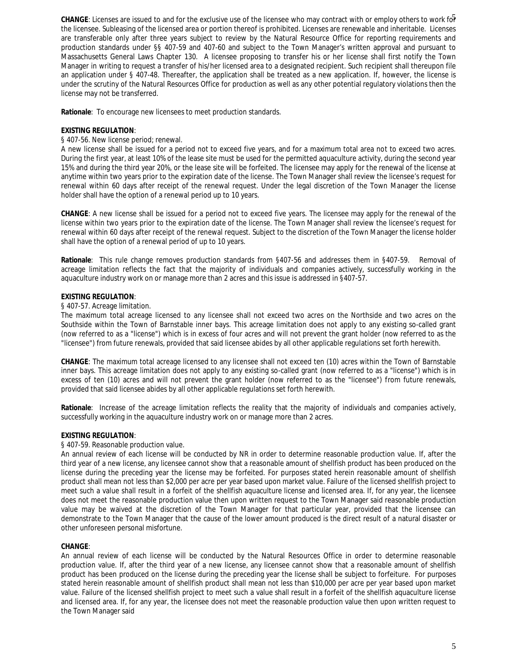CHANGE: Licenses are issued to and for the exclusive use of the licensee who may contract with or employ others to work fo<sup>5</sup> the licensee. Subleasing of the licensed area or portion thereof is prohibited. Licenses are renewable and inheritable. Licenses are transferable only after three years subject to review by the Natural Resource Office for reporting requirements and production standards under §§ 407-59 and 407-60 and subject to the Town Manager's written approval and pursuant to Massachusetts General Laws Chapter 130. A licensee proposing to transfer his or her license shall first notify the Town Manager in writing to request a transfer of his/her licensed area to a designated recipient. Such recipient shall thereupon file an application under § 407-48. Thereafter, the application shall be treated as a new application. If, however, the license is under the scrutiny of the Natural Resources Office for production as well as any other potential regulatory violations then the license may not be transferred.

**Rationale**: To encourage new licensees to meet production standards.

# **EXISTING REGULATION**:

# § 407-56. New license period; renewal.

A new license shall be issued for a period not to exceed five years, and for a maximum total area not to exceed two acres. During the first year, at least 10% of the lease site must be used for the permitted aquaculture activity, during the second year 15% and during the third year 20%, or the lease site will be forfeited. The licensee may apply for the renewal of the license at anytime within two years prior to the expiration date of the license. The Town Manager shall review the licensee's request for renewal within 60 days after receipt of the renewal request. Under the legal discretion of the Town Manager the license holder shall have the option of a renewal period up to 10 years.

**CHANGE**: A new license shall be issued for a period not to exceed five years. The licensee may apply for the renewal of the license within two years prior to the expiration date of the license. The Town Manager shall review the licensee's request for renewal within 60 days after receipt of the renewal request. Subject to the discretion of the Town Manager the license holder shall have the option of a renewal period of up to 10 years.

**Rationale**: This rule change removes production standards from §407-56 and addresses them in §407-59. Removal of acreage limitation reflects the fact that the majority of individuals and companies actively, successfully working in the aquaculture industry work on or manage more than 2 acres and this issue is addressed in §407-57.

# **EXISTING REGULATION**:

# § 407-57. Acreage limitation.

The maximum total acreage licensed to any licensee shall not exceed two acres on the Northside and two acres on the Southside within the Town of Barnstable inner bays. This acreage limitation does not apply to any existing so-called grant (now referred to as a "license") which is in excess of four acres and will not prevent the grant holder (now referred to as the "licensee") from future renewals, provided that said licensee abides by all other applicable regulations set forth herewith.

**CHANGE**: The maximum total acreage licensed to any licensee shall not exceed ten (10) acres within the Town of Barnstable inner bays. This acreage limitation does not apply to any existing so-called grant (now referred to as a "license") which is in excess of ten (10) acres and will not prevent the grant holder (now referred to as the "licensee") from future renewals, provided that said licensee abides by all other applicable regulations set forth herewith.

**Rationale**: Increase of the acreage limitation reflects the reality that the majority of individuals and companies actively, successfully working in the aquaculture industry work on or manage more than 2 acres.

# **EXISTING REGULATION**:

# § 407-59. Reasonable production value.

An annual review of each license will be conducted by NR in order to determine reasonable production value. If, after the third year of a new license, any licensee cannot show that a reasonable amount of shellfish product has been produced on the license during the preceding year the license may be forfeited. For purposes stated herein reasonable amount of shellfish product shall mean not less than \$2,000 per acre per year based upon market value. Failure of the licensed shellfish project to meet such a value shall result in a forfeit of the shellfish aquaculture license and licensed area. If, for any year, the licensee does not meet the reasonable production value then upon written request to the Town Manager said reasonable production value may be waived at the discretion of the Town Manager for that particular year, provided that the licensee can demonstrate to the Town Manager that the cause of the lower amount produced is the direct result of a natural disaster or other unforeseen personal misfortune.

# **CHANGE**:

An annual review of each license will be conducted by the Natural Resources Office in order to determine reasonable production value. If, after the third year of a new license, any licensee cannot show that a reasonable amount of shellfish product has been produced on the license during the preceding year the license shall be subject to forfeiture. For purposes stated herein reasonable amount of shellfish product shall mean not less than \$10,000 per acre per year based upon market value. Failure of the licensed shellfish project to meet such a value shall result in a forfeit of the shellfish aquaculture license and licensed area. If, for any year, the licensee does not meet the reasonable production value then upon written request to the Town Manager said